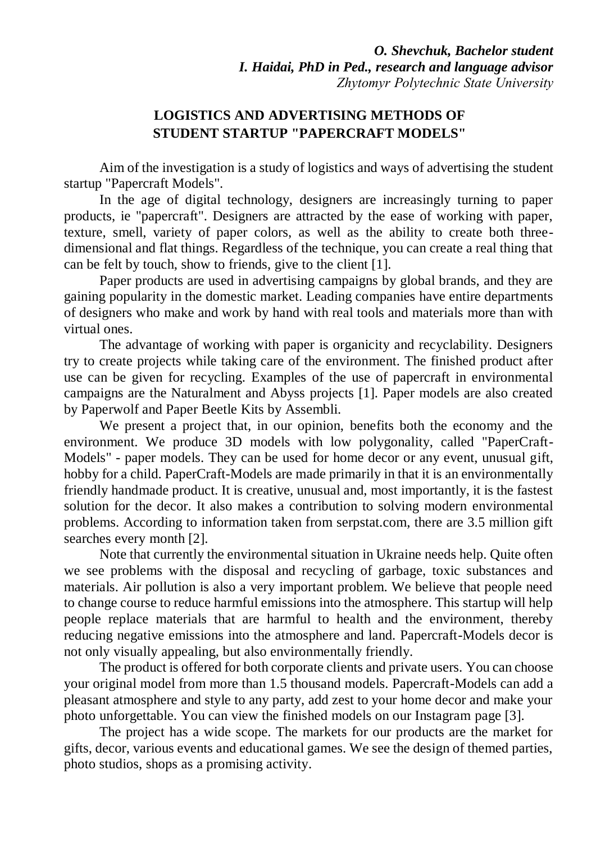## **LOGISTICS AND ADVERTISING METHODS OF STUDENT STARTUP "PAPERCRAFT MODELS"**

Aim of the investigation is a study of logistics and ways of advertising the student startup "Papercraft Models".

In the age of digital technology, designers are increasingly turning to paper products, ie "papercraft". Designers are attracted by the ease of working with paper, texture, smell, variety of paper colors, as well as the ability to create both threedimensional and flat things. Regardless of the technique, you can create a real thing that can be felt by touch, show to friends, give to the client [1].

Paper products are used in advertising campaigns by global brands, and they are gaining popularity in the domestic market. Leading companies have entire departments of designers who make and work by hand with real tools and materials more than with virtual ones.

The advantage of working with paper is organicity and recyclability. Designers try to create projects while taking care of the environment. The finished product after use can be given for recycling. Examples of the use of papercraft in environmental campaigns are the Naturalment and Abyss projects [1]. Paper models are also created by Paperwolf and Paper Beetle Kits by Assembli.

We present a project that, in our opinion, benefits both the economy and the environment. We produce 3D models with low polygonality, called "PaperCraft-Models" - paper models. They can be used for home decor or any event, unusual gift, hobby for a child. PaperCraft-Models are made primarily in that it is an environmentally friendly handmade product. It is creative, unusual and, most importantly, it is the fastest solution for the decor. It also makes a contribution to solving modern environmental problems. According to information taken from serpstat.com, there are 3.5 million gift searches every month [2].

Note that currently the environmental situation in Ukraine needs help. Quite often we see problems with the disposal and recycling of garbage, toxic substances and materials. Air pollution is also a very important problem. We believe that people need to change course to reduce harmful emissions into the atmosphere. This startup will help people replace materials that are harmful to health and the environment, thereby reducing negative emissions into the atmosphere and land. Papercraft-Models decor is not only visually appealing, but also environmentally friendly.

The product is offered for both corporate clients and private users. You can choose your original model from more than 1.5 thousand models. Papercraft-Models can add a pleasant atmosphere and style to any party, add zest to your home decor and make your photo unforgettable. You can view the finished models on our Instagram page [3].

The project has a wide scope. The markets for our products are the market for gifts, decor, various events and educational games. We see the design of themed parties, photo studios, shops as a promising activity.